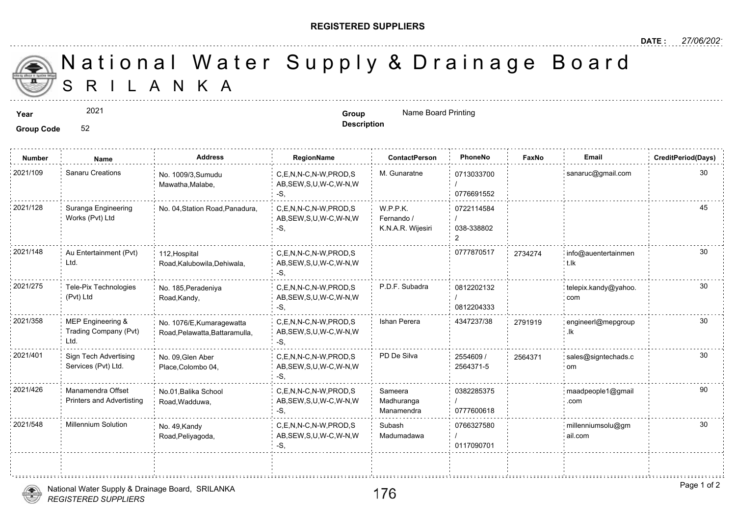## **REGISTERED SUPPLIERS**

**Description**

A N K A National Water Supply & Drainage

**Year Group** Name Board Printing

**Group Code** 52

2021

**Number Name Address RegionName ContactPerson PhoneNo FaxNo Email CreditPeriod(Days)** 0713033700 / 0776691552 2021/109 Sanaru Creations <sub>No.</sub> 1009/3,Sumudu C,E,N,N-C,N-W,PROD,S M. Gunaratne 0713033700 AB,SEW,S,U,W-C,W-N,W -S, No. 1009/3,Sumudu Mawatha,Malabe, 0722114584 / 038-338802 2 W.P.P.K. Fernando / K.N.A.R. Wijesiri C,E,N,N-C,N-W,PROD,S AB,SEW,S,U,W-C,W-N,W -S, Suranga Engineering No. 04, Station Road, Panadura, Works (Pvt) Ltd 2021/128 2021/148 Au Entertainment (Pvt) 112 Hospital (2021/148 C,E,N,N-C,N-W,PROD,S 30777870517 373427 AB,SEW,S,U,W-C,W-N,W -S, 112,Hospital Road,Kalubowila,Dehiwala, Au Entertainment (Pvt) Ltd. 273427 0812202132 / 0812204333 2021/275 Tele-Pix Technologies No. 185.Peradeniya C,E,N,N-C,N-W,PROD,S P.D.F. Subadra 0812202132 AB,SEW,S,U,W-C,W-N,W -S, No. 185,Peradeniya Road,Kandy, Tele-Pix Technologies (Pvt) Ltd C,E,N,N-C,N-W,PROD,S Ishan Perera 4347237/38 AB,SEW,S,U,W-C,W-N,W -S, 2021/358 MEP Engineering & No. 1076/E,Kumaragewatta C,E,N,N-C,N-W,PROD,S Ishan Perera 4347237/38 27919· Road,Pelawatta,Battaramulla, MEP Engineering & Trading Company (Pvt) Ltd. 27919 2554609 / 2564371-5 2021/401 Sign Tech Advertising No. 09,Glen Aber C,E,N,N-C,N-W,PROD,S PD De Silva 2554609 / 256437 AB,SEW,S,U,W-C,W-N,W -S, No. 09,Glen Aber Place,Colombo 04, Sign Tech Advertising Services (Pvt) Ltd. 25643 0382285375 / 0777600618 Sameera Madhuranga Manamendra C,E,N,N-C,N-W,PROD,S 2021/426 maadpeople1@gmail AB,SEW,S,U,W-C,W-N,W -S, No.01,Balika School Road,Wadduwa, Manamendra Offset Printers and Advertisting 0766327580 / 0117090701 Subash Madumadawa 2021/548 Millennium Solution No. 49.Kandy C,E,N,N-C,N-W,PROD,S Subash 0766327580 AB,SEW,S,U,W-C,W-N,W -S, No. 49,Kandy Road,Peliyagoda,